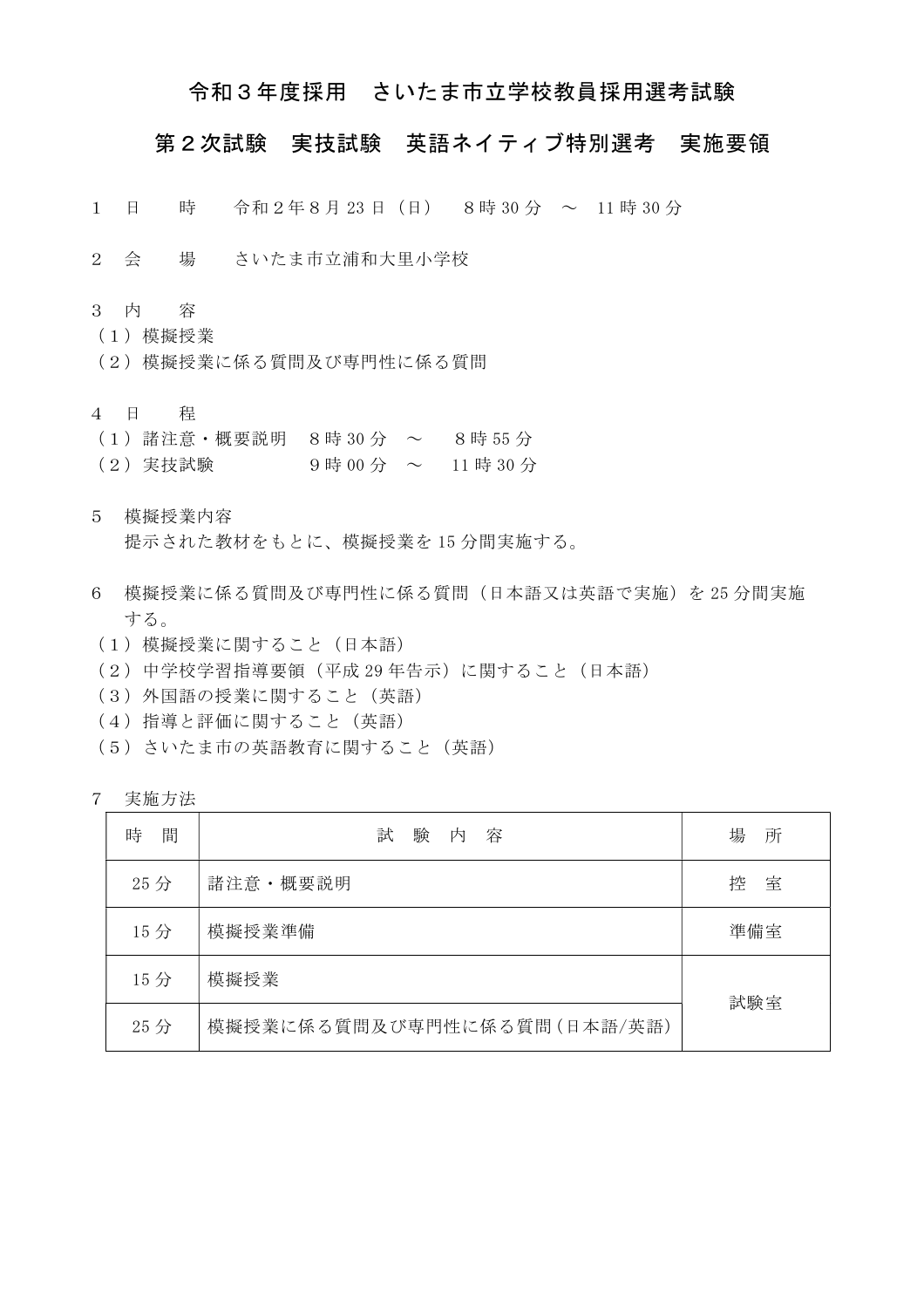#### 令和3年度採用 さいたま市立学校教員採用選考試験

#### 第2次試験 実技試験 英語ネイティブ特別選考 実施要領

- 1 日 時 令和2年8月 23 日(日) 8時 30 分 ~ 11 時 30 分
- 2 会 場 さいたま市立浦和大里小学校
- 3 内 容
- (1)模擬授業
- (2)模擬授業に係る質問及び専門性に係る質問
- 4 日 程
- (1)諸注意・概要説明 8時 30 分 ~ 8時 55 分
- $(2)$  実技試験 9時 00 分 ~ 11 時 30 分
- 5 模擬授業内容 提示された教材をもとに、模擬授業を 15 分間実施する。
- 6 模擬授業に係る質問及び専門性に係る質問(日本語又は英語で実施)を 25 分間実施 する。
- (1)模擬授業に関すること(日本語)
- (2)中学校学習指導要領(平成 29 年告示)に関すること(日本語)
- (3)外国語の授業に関すること(英語)
- (4)指導と評価に関すること(英語)
- (5)さいたま市の英語教育に関すること(英語)
- 7 実施方法

| 間<br>時 | 験<br>試<br>容<br>内            | 所<br>場 |  |  |
|--------|-----------------------------|--------|--|--|
| 25分    | 諸注意・概要説明                    | 室<br>控 |  |  |
| 15分    | 模擬授業準備                      | 準備室    |  |  |
| 15分    | 模擬授業                        |        |  |  |
| 25分    | 模擬授業に係る質問及び専門性に係る質問(日本語/英語) | 試験室    |  |  |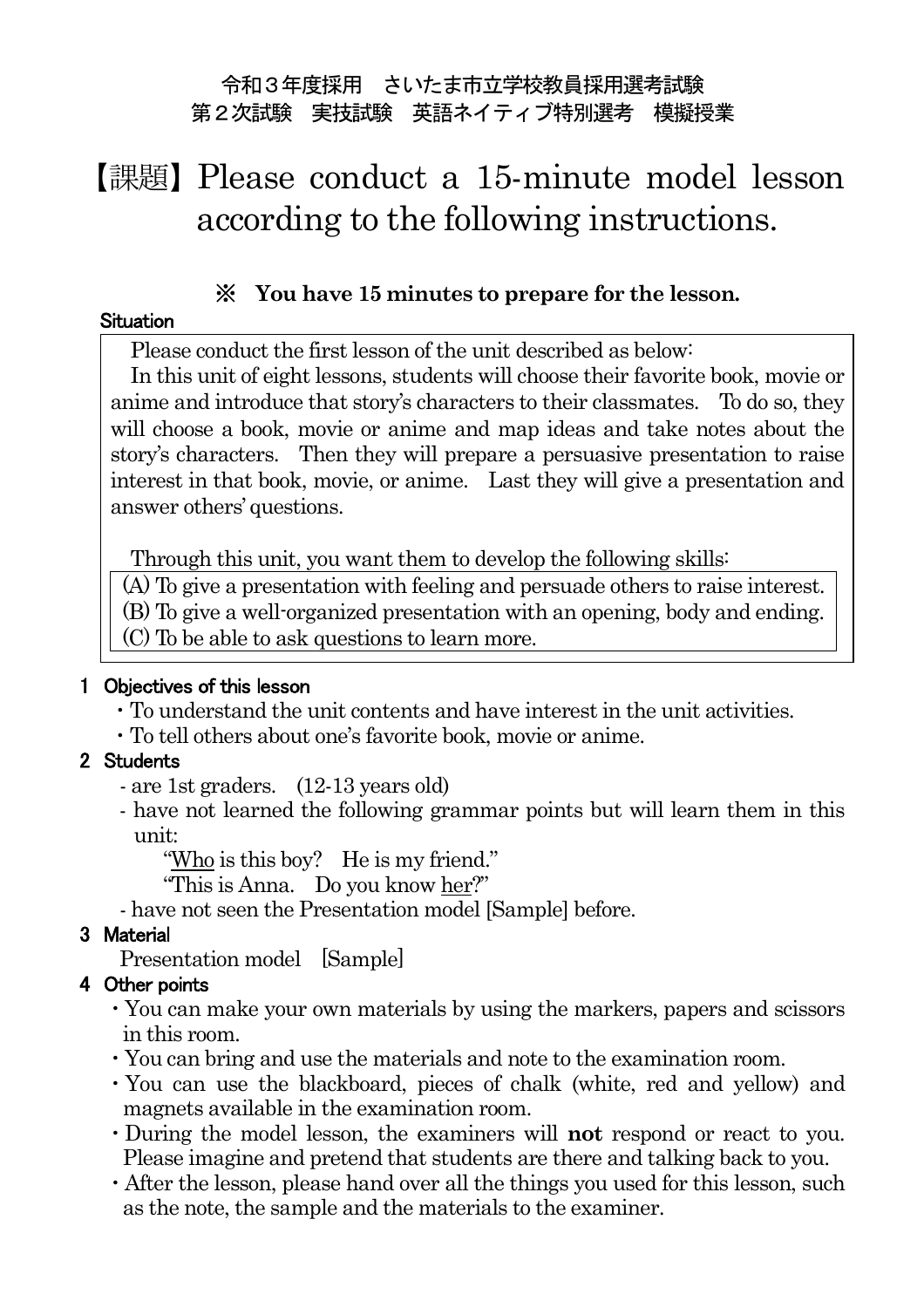### 令和3年度採用 さいたま市立学校教員採用選考試験 第2次試験 実技試験 英語ネイティブ特別選考 模擬授業

# 【課題】Please conduct a 15-minute model lesson according to the following instructions.

### ※ **You have 15 minutes to prepare for the lesson.**

#### **Situation**

Please conduct the first lesson of the unit described as below:

In this unit of eight lessons, students will choose their favorite book, movie or anime and introduce that story's characters to their classmates. To do so, they will choose a book, movie or anime and map ideas and take notes about the story's characters. Then they will prepare a persuasive presentation to raise interest in that book, movie, or anime. Last they will give a presentation and answer others' questions.

Through this unit, you want them to develop the following skills:

(A) To give a presentation with feeling and persuade others to raise interest.

(B) To give a well-organized presentation with an opening, body and ending.

(C) To be able to ask questions to learn more.

#### 1 Objectives of this lesson

- ・To understand the unit contents and have interest in the unit activities.
- ・To tell others about one's favorite book, movie or anime.

### 2 Students

- are 1st graders. (12-13 years old)
- have not learned the following grammar points but will learn them in this unit:

"Who is this boy? He is my friend."

"This is Anna. Do you know her?"

- have not seen the Presentation model [Sample] before.

### 3 Material

Presentation model [Sample]

### 4 Other points

- ・You can make your own materials by using the markers, papers and scissors in this room.
- ・You can bring and use the materials and note to the examination room.
- ・You can use the blackboard, pieces of chalk (white, red and yellow) and magnets available in the examination room.
- ・During the model lesson, the examiners will **not** respond or react to you. Please imagine and pretend that students are there and talking back to you.
- ・After the lesson, please hand over all the things you used for this lesson, such as the note, the sample and the materials to the examiner.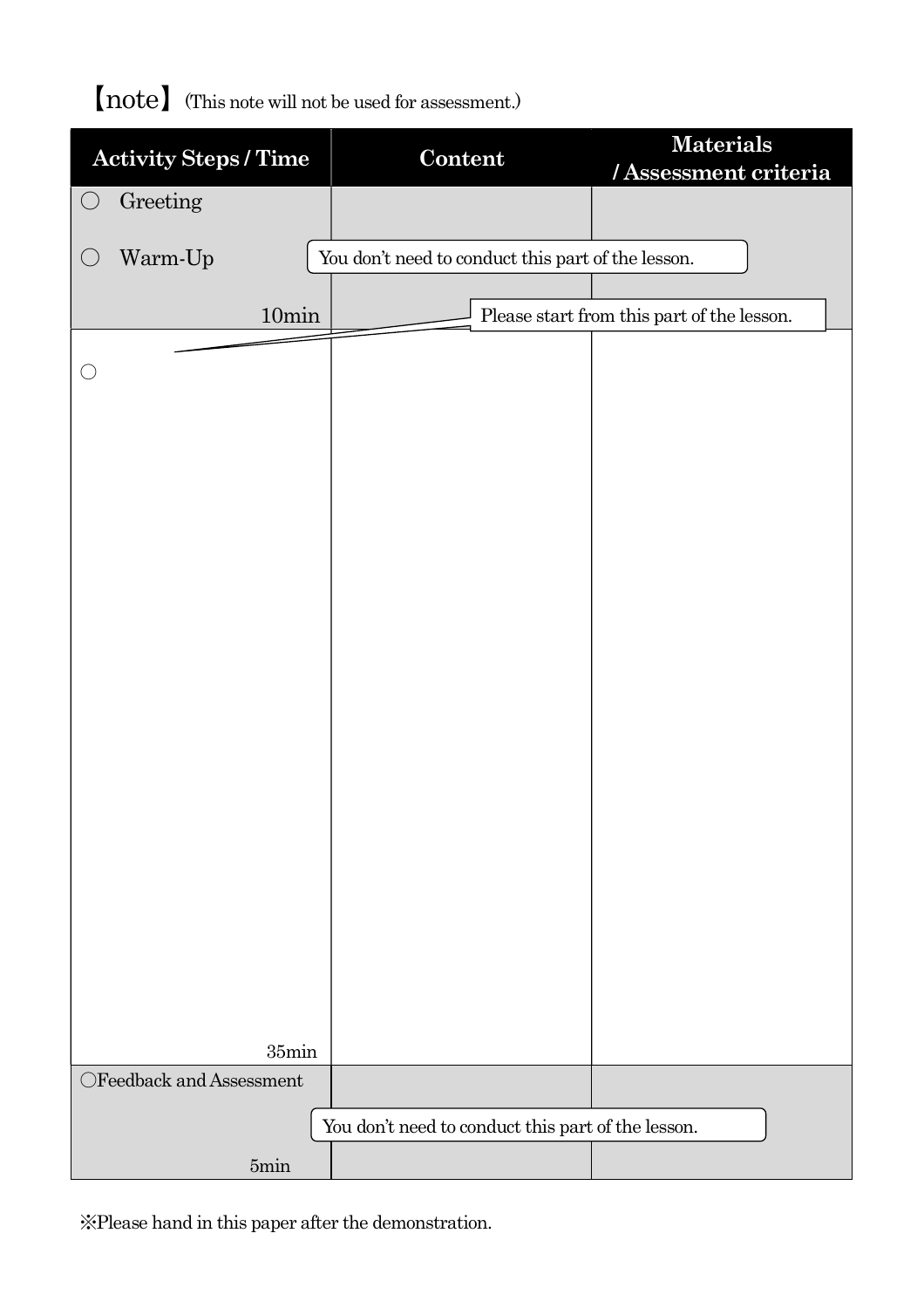## 【note】(This note will not be used for assessment.)

| <b>Activity Steps / Time</b>                       |                 |  | Content                                            |  | <b>Materials</b><br>/Assessment criteria |  |
|----------------------------------------------------|-----------------|--|----------------------------------------------------|--|------------------------------------------|--|
| $\bigcirc$                                         | Greeting        |  |                                                    |  |                                          |  |
| $\bigcirc$                                         | Warm-Up         |  | You don't need to conduct this part of the lesson. |  |                                          |  |
|                                                    |                 |  |                                                    |  |                                          |  |
| 10min                                              |                 |  | Please start from this part of the lesson.         |  |                                          |  |
|                                                    |                 |  |                                                    |  |                                          |  |
|                                                    |                 |  |                                                    |  |                                          |  |
|                                                    |                 |  |                                                    |  |                                          |  |
|                                                    |                 |  |                                                    |  |                                          |  |
|                                                    |                 |  |                                                    |  |                                          |  |
|                                                    |                 |  |                                                    |  |                                          |  |
|                                                    |                 |  |                                                    |  |                                          |  |
|                                                    |                 |  |                                                    |  |                                          |  |
|                                                    |                 |  |                                                    |  |                                          |  |
|                                                    |                 |  |                                                    |  |                                          |  |
|                                                    |                 |  |                                                    |  |                                          |  |
|                                                    |                 |  |                                                    |  |                                          |  |
|                                                    |                 |  |                                                    |  |                                          |  |
|                                                    |                 |  |                                                    |  |                                          |  |
|                                                    |                 |  |                                                    |  |                                          |  |
|                                                    |                 |  |                                                    |  |                                          |  |
|                                                    |                 |  |                                                    |  |                                          |  |
|                                                    |                 |  |                                                    |  |                                          |  |
|                                                    |                 |  |                                                    |  |                                          |  |
|                                                    |                 |  |                                                    |  |                                          |  |
|                                                    |                 |  |                                                    |  |                                          |  |
|                                                    |                 |  |                                                    |  |                                          |  |
|                                                    | 35min           |  |                                                    |  |                                          |  |
| $\bigcirc$ Feedback and Assessment                 |                 |  |                                                    |  |                                          |  |
|                                                    |                 |  |                                                    |  |                                          |  |
| You don't need to conduct this part of the lesson. |                 |  |                                                    |  |                                          |  |
|                                                    | $5\mathrm{min}$ |  |                                                    |  |                                          |  |

※Please hand in this paper after the demonstration.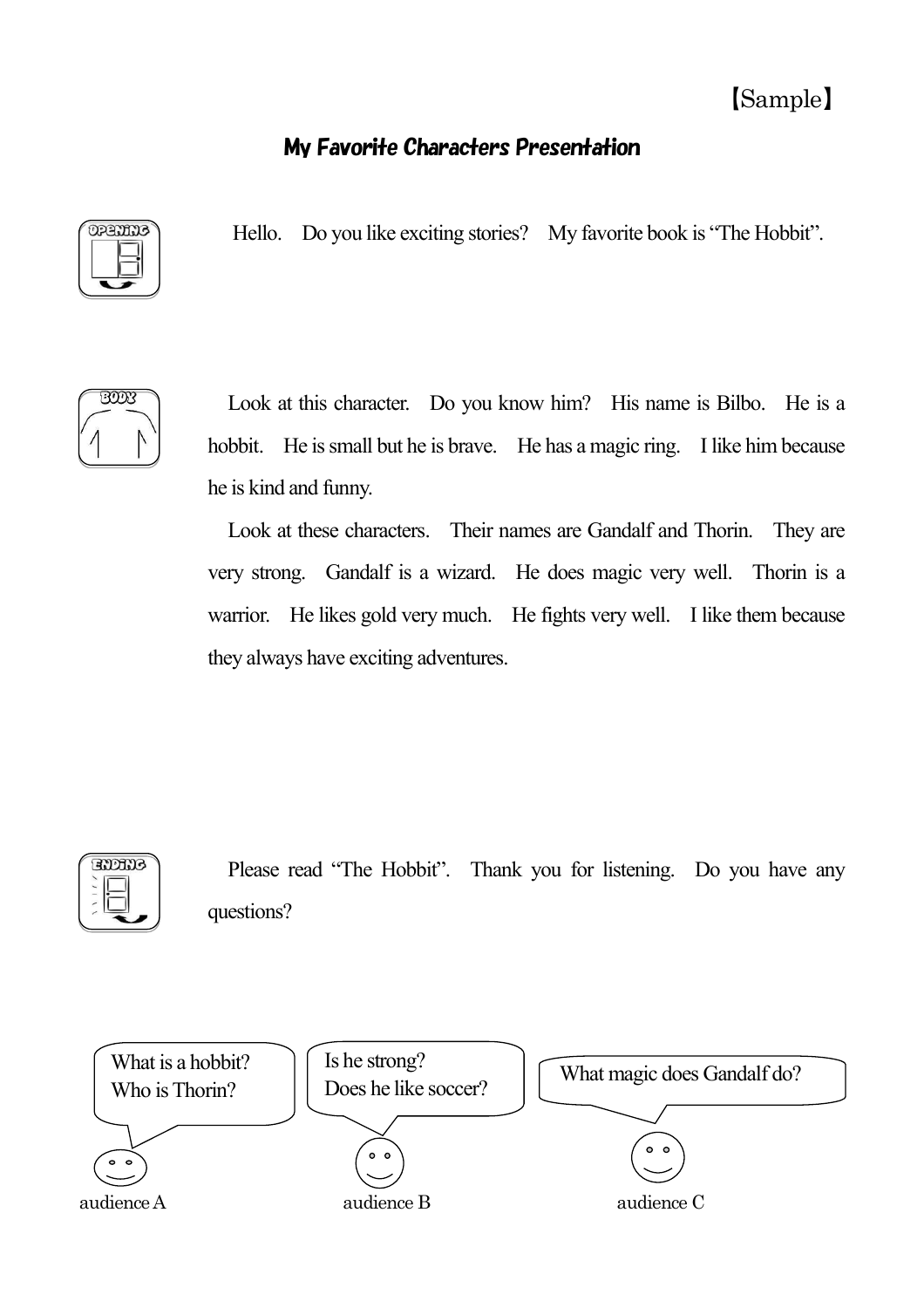## 【Sample】

## My Favorite Characters Presentation



Hello. Do you like exciting stories? My favorite book is "The Hobbit".



Look at this character. Do you know him? His name is Bilbo. He is a hobbit. He is small but he is brave. He has a magic ring. I like him because he is kind and funny.

Look at these characters. Their names are Gandalf and Thorin. They are very strong. Gandalf is a wizard. He does magic very well. Thorin is a warrior. He likes gold very much. He fights very well. I like them because they always have exciting adventures.



Please read "The Hobbit". Thank you for listening. Do you have any questions?